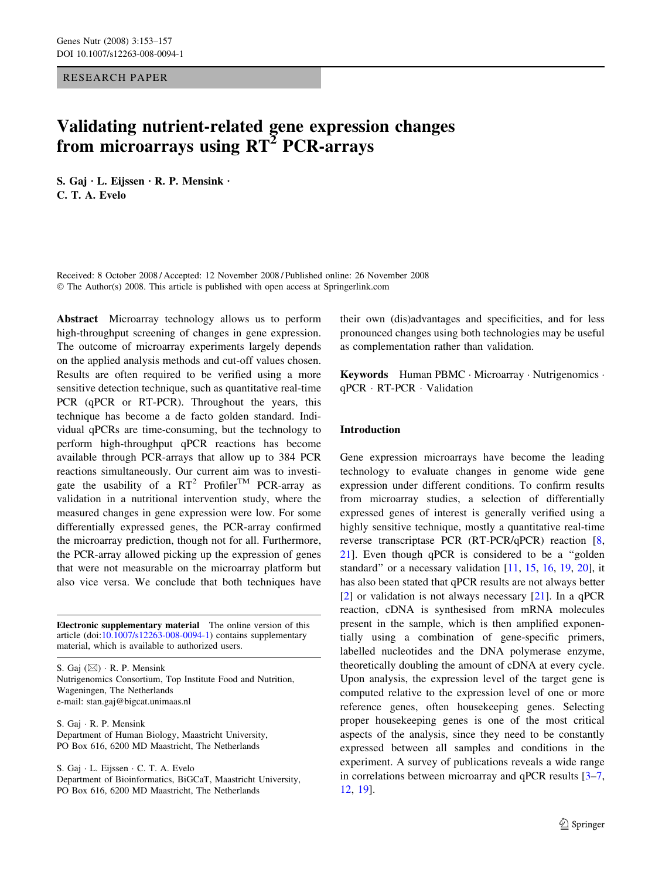## RESEARCH PAPER

# Validating nutrient-related gene expression changes from microarrays using  $RT^2$  PCR-arrays

S. Gaj  $\cdot$  L. Eijssen  $\cdot$  R. P. Mensink  $\cdot$ C. T. A. Evelo

Received: 8 October 2008 / Accepted: 12 November 2008 / Published online: 26 November 2008  $\odot$  The Author(s) 2008. This article is published with open access at Springerlink.com

Abstract Microarray technology allows us to perform high-throughput screening of changes in gene expression. The outcome of microarray experiments largely depends on the applied analysis methods and cut-off values chosen. Results are often required to be verified using a more sensitive detection technique, such as quantitative real-time PCR (qPCR or RT-PCR). Throughout the years, this technique has become a de facto golden standard. Individual qPCRs are time-consuming, but the technology to perform high-throughput qPCR reactions has become available through PCR-arrays that allow up to 384 PCR reactions simultaneously. Our current aim was to investigate the usability of a  $RT^2$  Profiler<sup>TM</sup> PCR-array as validation in a nutritional intervention study, where the measured changes in gene expression were low. For some differentially expressed genes, the PCR-array confirmed the microarray prediction, though not for all. Furthermore, the PCR-array allowed picking up the expression of genes that were not measurable on the microarray platform but also vice versa. We conclude that both techniques have

Electronic supplementary material The online version of this article (doi:[10.1007/s12263-008-0094-1\)](http://dx.doi.org/10.1007/s12263-008-0094-1) contains supplementary material, which is available to authorized users.

S. Gaj  $(\boxtimes) \cdot$  R. P. Mensink Nutrigenomics Consortium, Top Institute Food and Nutrition, Wageningen, The Netherlands e-mail: stan.gaj@bigcat.unimaas.nl

S. Gaj · R. P. Mensink Department of Human Biology, Maastricht University, PO Box 616, 6200 MD Maastricht, The Netherlands

S. Gaj · L. Eijssen · C. T. A. Evelo Department of Bioinformatics, BiGCaT, Maastricht University, PO Box 616, 6200 MD Maastricht, The Netherlands

their own (dis)advantages and specificities, and for less pronounced changes using both technologies may be useful as complementation rather than validation.

Keywords Human PBMC · Microarray · Nutrigenomics · qPCR · RT-PCR · Validation

# Introduction

Gene expression microarrays have become the leading technology to evaluate changes in genome wide gene expression under different conditions. To confirm results from microarray studies, a selection of differentially expressed genes of interest is generally verified using a highly sensitive technique, mostly a quantitative real-time reverse transcriptase PCR (RT-PCR/qPCR) reaction [[8,](#page-4-0) [21](#page-4-0)]. Even though qPCR is considered to be a ''golden standard'' or a necessary validation [[11,](#page-4-0) [15,](#page-4-0) [16](#page-4-0), [19,](#page-4-0) [20\]](#page-4-0), it has also been stated that qPCR results are not always better [\[2](#page-4-0)] or validation is not always necessary [[21\]](#page-4-0). In a qPCR reaction, cDNA is synthesised from mRNA molecules present in the sample, which is then amplified exponentially using a combination of gene-specific primers, labelled nucleotides and the DNA polymerase enzyme, theoretically doubling the amount of cDNA at every cycle. Upon analysis, the expression level of the target gene is computed relative to the expression level of one or more reference genes, often housekeeping genes. Selecting proper housekeeping genes is one of the most critical aspects of the analysis, since they need to be constantly expressed between all samples and conditions in the experiment. A survey of publications reveals a wide range in correlations between microarray and qPCR results [[3–7,](#page-4-0) [12](#page-4-0), [19\]](#page-4-0).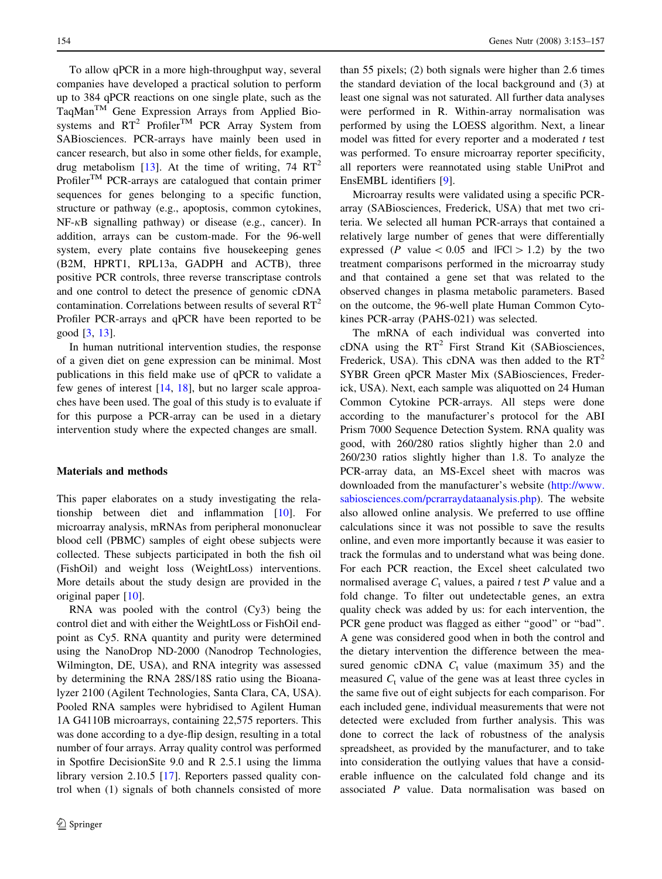To allow qPCR in a more high-throughput way, several companies have developed a practical solution to perform up to 384 qPCR reactions on one single plate, such as the TaqManTM Gene Expression Arrays from Applied Biosystems and  $RT^2$  Profiler<sup>TM</sup> PCR Array System from SABiosciences. PCR-arrays have mainly been used in cancer research, but also in some other fields, for example, drug metabolism [[13\]](#page-4-0). At the time of writing,  $74 \text{ RT}^2$ Profiler<sup>TM</sup> PCR-arrays are catalogued that contain primer sequences for genes belonging to a specific function, structure or pathway (e.g., apoptosis, common cytokines,  $NF-\kappa B$  signalling pathway) or disease (e.g., cancer). In addition, arrays can be custom-made. For the 96-well system, every plate contains five housekeeping genes (B2M, HPRT1, RPL13a, GADPH and ACTB), three positive PCR controls, three reverse transcriptase controls and one control to detect the presence of genomic cDNA contamination. Correlations between results of several  $RT^2$ Profiler PCR-arrays and qPCR have been reported to be good [[3,](#page-4-0) [13](#page-4-0)].

In human nutritional intervention studies, the response of a given diet on gene expression can be minimal. Most publications in this field make use of qPCR to validate a few genes of interest [[14,](#page-4-0) [18](#page-4-0)], but no larger scale approaches have been used. The goal of this study is to evaluate if for this purpose a PCR-array can be used in a dietary intervention study where the expected changes are small.

#### Materials and methods

This paper elaborates on a study investigating the relationship between diet and inflammation [\[10](#page-4-0)]. For microarray analysis, mRNAs from peripheral mononuclear blood cell (PBMC) samples of eight obese subjects were collected. These subjects participated in both the fish oil (FishOil) and weight loss (WeightLoss) interventions. More details about the study design are provided in the original paper [\[10](#page-4-0)].

RNA was pooled with the control (Cy3) being the control diet and with either the WeightLoss or FishOil endpoint as Cy5. RNA quantity and purity were determined using the NanoDrop ND-2000 (Nanodrop Technologies, Wilmington, DE, USA), and RNA integrity was assessed by determining the RNA 28S/18S ratio using the Bioanalyzer 2100 (Agilent Technologies, Santa Clara, CA, USA). Pooled RNA samples were hybridised to Agilent Human 1A G4110B microarrays, containing 22,575 reporters. This was done according to a dye-flip design, resulting in a total number of four arrays. Array quality control was performed in Spotfire DecisionSite 9.0 and R 2.5.1 using the limma library version 2.10.5 [[17\]](#page-4-0). Reporters passed quality control when (1) signals of both channels consisted of more

than 55 pixels; (2) both signals were higher than 2.6 times the standard deviation of the local background and (3) at least one signal was not saturated. All further data analyses were performed in R. Within-array normalisation was performed by using the LOESS algorithm. Next, a linear model was fitted for every reporter and a moderated  $t$  test was performed. To ensure microarray reporter specificity, all reporters were reannotated using stable UniProt and EnsEMBL identifiers [[9\]](#page-4-0).

Microarray results were validated using a specific PCRarray (SABiosciences, Frederick, USA) that met two criteria. We selected all human PCR-arrays that contained a relatively large number of genes that were differentially expressed (P value  $\lt$  0.05 and  $|FC| > 1.2$ ) by the two treatment comparisons performed in the microarray study and that contained a gene set that was related to the observed changes in plasma metabolic parameters. Based on the outcome, the 96-well plate Human Common Cytokines PCR-array (PAHS-021) was selected.

The mRNA of each individual was converted into cDNA using the  $RT^2$  First Strand Kit (SABiosciences, Frederick, USA). This cDNA was then added to the  $RT^2$ SYBR Green qPCR Master Mix (SABiosciences, Frederick, USA). Next, each sample was aliquotted on 24 Human Common Cytokine PCR-arrays. All steps were done according to the manufacturer's protocol for the ABI Prism 7000 Sequence Detection System. RNA quality was good, with 260/280 ratios slightly higher than 2.0 and 260/230 ratios slightly higher than 1.8. To analyze the PCR-array data, an MS-Excel sheet with macros was downloaded from the manufacturer's website [\(http://www.](http://www.sabiosciences.com/pcrarraydataanalysis.php) [sabiosciences.com/pcrarraydataanalysis.php](http://www.sabiosciences.com/pcrarraydataanalysis.php)). The website also allowed online analysis. We preferred to use offline calculations since it was not possible to save the results online, and even more importantly because it was easier to track the formulas and to understand what was being done. For each PCR reaction, the Excel sheet calculated two normalised average  $C_t$  values, a paired t test P value and a fold change. To filter out undetectable genes, an extra quality check was added by us: for each intervention, the PCR gene product was flagged as either ''good'' or ''bad''. A gene was considered good when in both the control and the dietary intervention the difference between the measured genomic cDNA  $C_t$  value (maximum 35) and the measured  $C_t$  value of the gene was at least three cycles in the same five out of eight subjects for each comparison. For each included gene, individual measurements that were not detected were excluded from further analysis. This was done to correct the lack of robustness of the analysis spreadsheet, as provided by the manufacturer, and to take into consideration the outlying values that have a considerable influence on the calculated fold change and its associated P value. Data normalisation was based on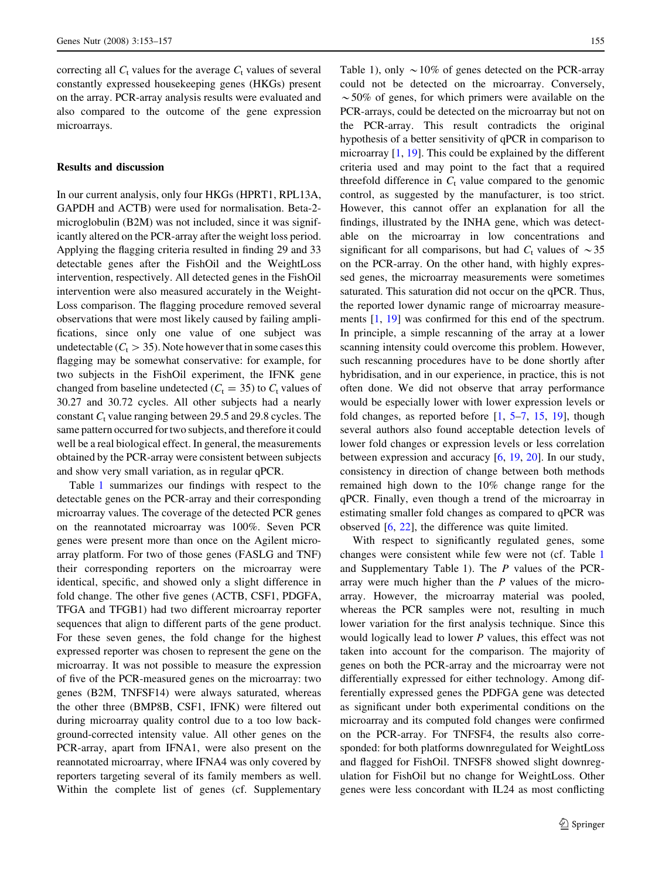correcting all  $C_t$  values for the average  $C_t$  values of several constantly expressed housekeeping genes (HKGs) present on the array. PCR-array analysis results were evaluated and also compared to the outcome of the gene expression microarrays.

# Results and discussion

In our current analysis, only four HKGs (HPRT1, RPL13A, GAPDH and ACTB) were used for normalisation. Beta-2 microglobulin (B2M) was not included, since it was significantly altered on the PCR-array after the weight loss period. Applying the flagging criteria resulted in finding 29 and 33 detectable genes after the FishOil and the WeightLoss intervention, respectively. All detected genes in the FishOil intervention were also measured accurately in the Weight-Loss comparison. The flagging procedure removed several observations that were most likely caused by failing amplifications, since only one value of one subject was undetectable ( $C_t > 35$ ). Note however that in some cases this flagging may be somewhat conservative: for example, for two subjects in the FishOil experiment, the IFNK gene changed from baseline undetected  $(C_t = 35)$  to  $C_t$  values of 30.27 and 30.72 cycles. All other subjects had a nearly constant  $C_t$  value ranging between 29.5 and 29.8 cycles. The same pattern occurred for two subjects, and therefore it could well be a real biological effect. In general, the measurements obtained by the PCR-array were consistent between subjects and show very small variation, as in regular qPCR.

Table [1](#page-3-0) summarizes our findings with respect to the detectable genes on the PCR-array and their corresponding microarray values. The coverage of the detected PCR genes on the reannotated microarray was 100%. Seven PCR genes were present more than once on the Agilent microarray platform. For two of those genes (FASLG and TNF) their corresponding reporters on the microarray were identical, specific, and showed only a slight difference in fold change. The other five genes (ACTB, CSF1, PDGFA, TFGA and TFGB1) had two different microarray reporter sequences that align to different parts of the gene product. For these seven genes, the fold change for the highest expressed reporter was chosen to represent the gene on the microarray. It was not possible to measure the expression of five of the PCR-measured genes on the microarray: two genes (B2M, TNFSF14) were always saturated, whereas the other three (BMP8B, CSF1, IFNK) were filtered out during microarray quality control due to a too low background-corrected intensity value. All other genes on the PCR-array, apart from IFNA1, were also present on the reannotated microarray, where IFNA4 was only covered by reporters targeting several of its family members as well. Within the complete list of genes (cf. Supplementary

Table 1), only  $\sim$  10% of genes detected on the PCR-array could not be detected on the microarray. Conversely,  $\sim$  50% of genes, for which primers were available on the PCR-arrays, could be detected on the microarray but not on the PCR-array. This result contradicts the original hypothesis of a better sensitivity of qPCR in comparison to microarray [[1,](#page-4-0) [19\]](#page-4-0). This could be explained by the different criteria used and may point to the fact that a required threefold difference in  $C_t$  value compared to the genomic control, as suggested by the manufacturer, is too strict. However, this cannot offer an explanation for all the findings, illustrated by the INHA gene, which was detectable on the microarray in low concentrations and significant for all comparisons, but had  $C_t$  values of  $\sim$ 35 on the PCR-array. On the other hand, with highly expressed genes, the microarray measurements were sometimes saturated. This saturation did not occur on the qPCR. Thus, the reported lower dynamic range of microarray measurements [[1,](#page-4-0) [19\]](#page-4-0) was confirmed for this end of the spectrum. In principle, a simple rescanning of the array at a lower scanning intensity could overcome this problem. However, such rescanning procedures have to be done shortly after hybridisation, and in our experience, in practice, this is not often done. We did not observe that array performance would be especially lower with lower expression levels or fold changes, as reported before [\[1](#page-4-0), [5–7,](#page-4-0) [15](#page-4-0), [19\]](#page-4-0), though several authors also found acceptable detection levels of lower fold changes or expression levels or less correlation between expression and accuracy [[6,](#page-4-0) [19](#page-4-0), [20\]](#page-4-0). In our study, consistency in direction of change between both methods remained high down to the 10% change range for the qPCR. Finally, even though a trend of the microarray in estimating smaller fold changes as compared to qPCR was observed [[6,](#page-4-0) [22\]](#page-4-0), the difference was quite limited.

With respect to significantly regulated genes, some changes were consistent while few were not (cf. Table [1](#page-3-0) and Supplementary Table 1). The P values of the PCRarray were much higher than the P values of the microarray. However, the microarray material was pooled, whereas the PCR samples were not, resulting in much lower variation for the first analysis technique. Since this would logically lead to lower P values, this effect was not taken into account for the comparison. The majority of genes on both the PCR-array and the microarray were not differentially expressed for either technology. Among differentially expressed genes the PDFGA gene was detected as significant under both experimental conditions on the microarray and its computed fold changes were confirmed on the PCR-array. For TNFSF4, the results also corresponded: for both platforms downregulated for WeightLoss and flagged for FishOil. TNFSF8 showed slight downregulation for FishOil but no change for WeightLoss. Other genes were less concordant with IL24 as most conflicting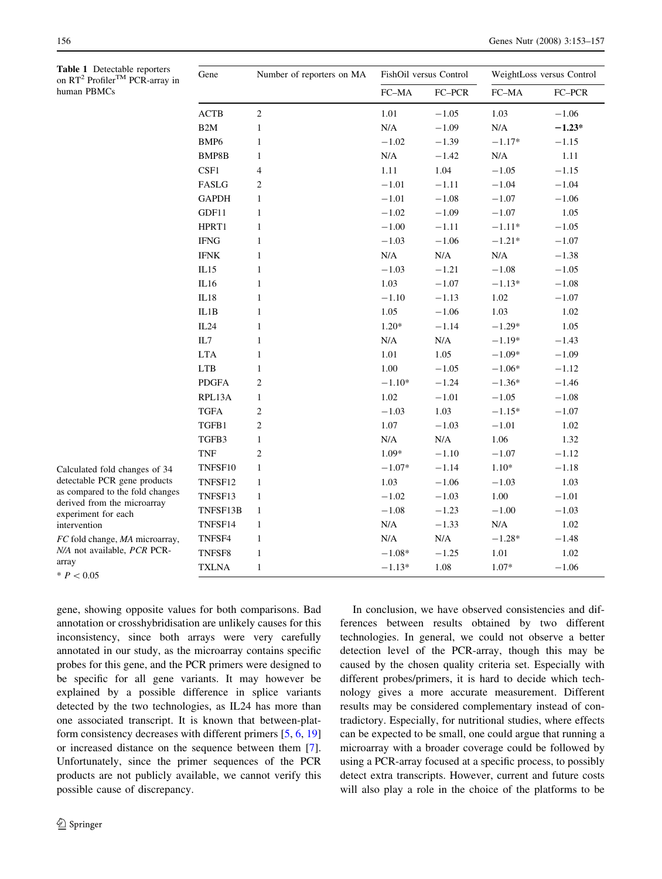<span id="page-3-0"></span>

| Table 1 Detectable reporters<br>on RT <sup>2</sup> Profiler <sup>TM</sup> PCR-array in<br>human PBMCs                                                                  | Gene                  | Number of reporters on MA | FishOil versus Control |           | WeightLoss versus Control |          |
|------------------------------------------------------------------------------------------------------------------------------------------------------------------------|-----------------------|---------------------------|------------------------|-----------|---------------------------|----------|
|                                                                                                                                                                        |                       |                           | ${\rm FC\text{-}MA}$   | FC-PCR    | FC-MA                     | $FC-PCR$ |
|                                                                                                                                                                        | <b>ACTB</b>           | $\overline{c}$            | 1.01                   | $-1.05$   | 1.03                      | $-1.06$  |
|                                                                                                                                                                        | B2M                   | $\mathbf{1}$              | N/A                    | $-1.09$   | $\rm N/A$                 | $-1.23*$ |
|                                                                                                                                                                        | BMP <sub>6</sub>      | $\mathbf{1}$              | $-1.02$                | $-1.39$   | $-1.17*$                  | $-1.15$  |
|                                                                                                                                                                        | BMP8B                 | $\mathbf{1}$              | $\rm N/A$              | $-1.42$   | $\rm N/A$                 | 1.11     |
|                                                                                                                                                                        | CSF1                  | 4                         | 1.11                   | 1.04      | $-1.05$                   | $-1.15$  |
|                                                                                                                                                                        | FASLG                 | $\overline{c}$            | $-1.01$                | $-1.11$   | $-1.04$                   | $-1.04$  |
|                                                                                                                                                                        | <b>GAPDH</b>          | $\mathbf{1}$              | $-1.01$                | $-1.08$   | $-1.07$                   | $-1.06$  |
|                                                                                                                                                                        | GDF11                 | $\mathbf{1}$              | $-1.02$                | $-1.09$   | $-1.07$                   | 1.05     |
|                                                                                                                                                                        | HPRT1                 | $\mathbf{1}$              | $-1.00$                | $-1.11$   | $-1.11*$                  | $-1.05$  |
|                                                                                                                                                                        | $\operatorname{IFNG}$ | $\mathbf{1}$              | $-1.03$                | $-1.06$   | $-1.21*$                  | $-1.07$  |
|                                                                                                                                                                        | <b>IFNK</b>           | $\mathbf{1}$              | $\rm N/A$              | $\rm N/A$ | $\rm N/A$                 | $-1.38$  |
|                                                                                                                                                                        | IL15                  | 1                         | $-1.03$                | $-1.21$   | $-1.08$                   | $-1.05$  |
|                                                                                                                                                                        | IL16                  | $\mathbf{1}$              | 1.03                   | $-1.07$   | $-1.13*$                  | $-1.08$  |
|                                                                                                                                                                        | IL18                  | 1                         | $-1.10$                | $-1.13$   | 1.02                      | $-1.07$  |
|                                                                                                                                                                        | IL1B                  | $\mathbf{1}$              | 1.05                   | $-1.06$   | 1.03                      | 1.02     |
|                                                                                                                                                                        | IL24                  | $\mathbf{1}$              | $1.20*$                | $-1.14$   | $-1.29*$                  | 1.05     |
|                                                                                                                                                                        | IL7                   | $\mathbf{1}$              | $\rm N/A$              | $\rm N/A$ | $-1.19*$                  | $-1.43$  |
|                                                                                                                                                                        | <b>LTA</b>            | $\mathbf{1}$              | 1.01                   | 1.05      | $-1.09*$                  | $-1.09$  |
|                                                                                                                                                                        | <b>LTB</b>            | $\mathbf{1}$              | 1.00                   | $-1.05$   | $-1.06*$                  | $-1.12$  |
|                                                                                                                                                                        | <b>PDGFA</b>          | $\overline{c}$            | $-1.10*$               | $-1.24$   | $-1.36*$                  | $-1.46$  |
|                                                                                                                                                                        | RPL13A                | $\mathbf{1}$              | 1.02                   | $-1.01$   | $-1.05$                   | $-1.08$  |
|                                                                                                                                                                        | <b>TGFA</b>           | $\overline{2}$            | $-1.03$                | 1.03      | $-1.15*$                  | $-1.07$  |
|                                                                                                                                                                        | TGFB1                 | $\overline{2}$            | 1.07                   | $-1.03$   | $-1.01$                   | 1.02     |
|                                                                                                                                                                        | TGFB3                 | $\mathbf{1}$              | $\rm N/A$              | $\rm N/A$ | 1.06                      | 1.32     |
|                                                                                                                                                                        | <b>TNF</b>            | $\overline{2}$            | $1.09*$                | $-1.10$   | $-1.07$                   | $-1.12$  |
| Calculated fold changes of 34<br>detectable PCR gene products<br>as compared to the fold changes<br>derived from the microarray<br>experiment for each<br>intervention | TNFSF10               | $\mathbf{1}$              | $-1.07*$               | $-1.14$   | $1.10*$                   | $-1.18$  |
|                                                                                                                                                                        | TNFSF12               | $\mathbf{1}$              | 1.03                   | $-1.06$   | $-1.03$                   | 1.03     |
|                                                                                                                                                                        | TNFSF13               | $\mathbf{1}$              | $-1.02$                | $-1.03$   | 1.00                      | $-1.01$  |
|                                                                                                                                                                        | TNFSF13B              | $\mathbf{1}$              | $-1.08$                | $-1.23$   | $-1.00$                   | $-1.03$  |
|                                                                                                                                                                        | TNFSF14               | $\mathbf{1}$              | $\rm N/A$              | $-1.33$   | N/A                       | 1.02     |
| FC fold change, MA microarray,<br>N/A not available, PCR PCR-<br>array<br>$* P < 0.05$                                                                                 | TNFSF4                | $\mathbf{1}$              | $\rm N/A$              | $\rm N/A$ | $-1.28*$                  | $-1.48$  |
|                                                                                                                                                                        | TNFSF8                | $\mathbf{1}$              | $-1.08*$               | $-1.25$   | 1.01                      | 1.02     |
|                                                                                                                                                                        | <b>TXLNA</b>          | $\mathbf{1}$              | $-1.13*$               | 1.08      | $1.07*$                   | $-1.06$  |

gene, showing opposite values for both comparisons. Bad annotation or crosshybridisation are unlikely causes for this inconsistency, since both arrays were very carefully annotated in our study, as the microarray contains specific probes for this gene, and the PCR primers were designed to be specific for all gene variants. It may however be explained by a possible difference in splice variants detected by the two technologies, as IL24 has more than one associated transcript. It is known that between-platform consistency decreases with different primers [\[5](#page-4-0), [6,](#page-4-0) [19\]](#page-4-0) or increased distance on the sequence between them [\[7](#page-4-0)]. Unfortunately, since the primer sequences of the PCR products are not publicly available, we cannot verify this possible cause of discrepancy.

array  $*$   $P < 0.05$ 

> In conclusion, we have observed consistencies and differences between results obtained by two different technologies. In general, we could not observe a better detection level of the PCR-array, though this may be caused by the chosen quality criteria set. Especially with different probes/primers, it is hard to decide which technology gives a more accurate measurement. Different results may be considered complementary instead of contradictory. Especially, for nutritional studies, where effects can be expected to be small, one could argue that running a microarray with a broader coverage could be followed by using a PCR-array focused at a specific process, to possibly detect extra transcripts. However, current and future costs will also play a role in the choice of the platforms to be